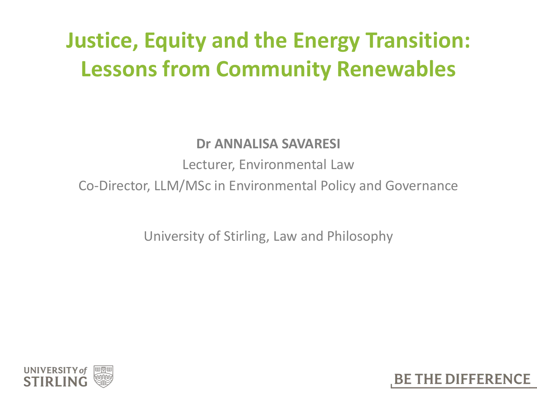### **Justice, Equity and the Energy Transition: Lessons from Community Renewables**

#### **Dr ANNALISA SAVARESI**

Lecturer, Environmental Law

Co-Director, LLM/MSc in Environmental Policy and Governance

University of Stirling, Law and Philosophy



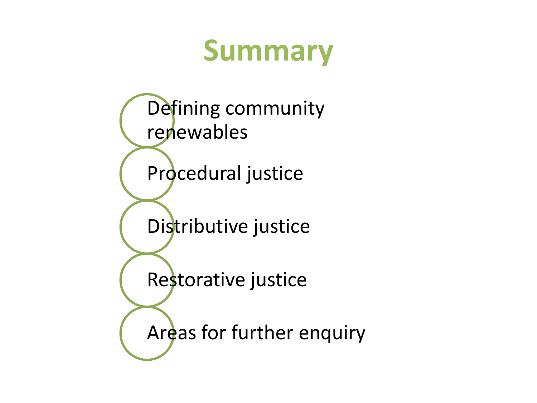## **Summary**

Defining community renewables Procedural justice Distributive justice Restorative justice Areas for further enquiry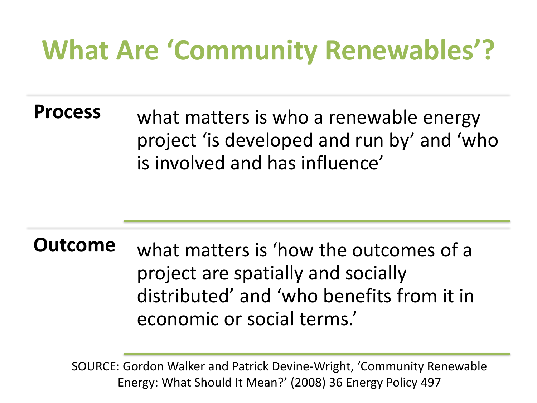### **What Are 'Community Renewables'?**

**Process** what matters is who a renewable energy project 'is developed and run by' and 'who is involved and has influence'

**Outcome** what matters is 'how the outcomes of a project are spatially and socially distributed' and 'who benefits from it in economic or social terms.'

SOURCE: Gordon Walker and Patrick Devine-Wright, 'Community Renewable Energy: What Should It Mean?' (2008) 36 Energy Policy 497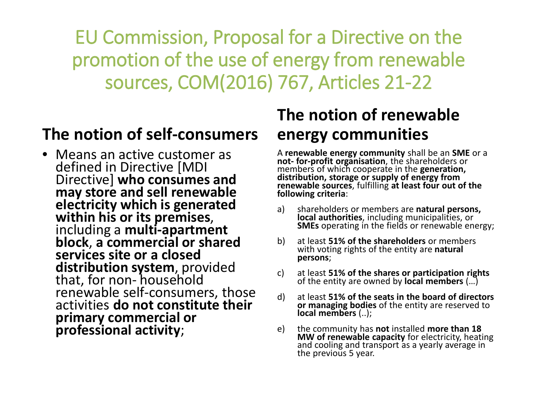EU Commission, Proposal for a Directive on the promotion of the use of energy from renewable sources, COM(2016) 767, Articles 21-22

#### **The notion of self-consumers**

• Means an active customer as defined in Directive [MDI Directive] **who consumes and may store and sell renewable electricity which is generated within his or its premises**, including a **multi-apartment block**, **a commercial or shared services site or a closed**  distribution system, provided that, for non- household renewable self-consumers, those activities **do not constitute their primary commercial or professional activity**;

#### **The notion of renewable energy communities**

A **renewable energy community** shall be an **SME** or a **not- for-profit organisation**, the shareholders or distribution, storage or supply of energy from **renewable sources**, fulfilling **at least four out of the following criteria**:

- a) shareholders or members are **natural persons, local authorities**, including municipalities, or **SMEs** operating in the fields or renewable energy;
- b) at least **51% of the shareholders** or members with voting rights of the entity are **natural persons**;
- c) at least **51% of the shares or participation rights** of the entity are owned by **local members** (…)
- d) at least **51% of the seats in the board of directors or managing bodies** of the entity are reserved to **local members** (..);
- e) the community has **not** installed **more than 18 MW of renewable capacity** for electricity, heating and cooling and transport as a yearly average in the previous 5 year.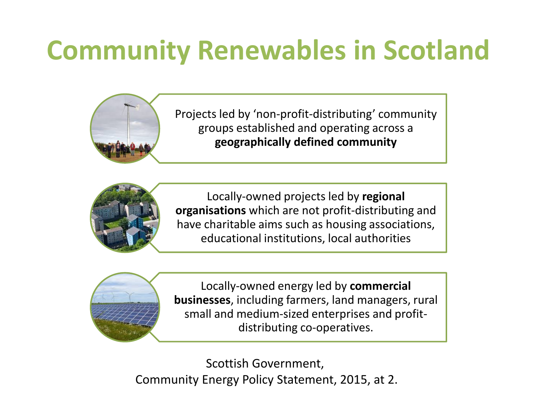## **Community Renewables in Scotland**





Locally-owned projects led by **regional organisations** which are not profit-distributing and have charitable aims such as housing associations, educational institutions, local authorities



Locally-owned energy led by **commercial businesses**, including farmers, land managers, rural small and medium-sized enterprises and profitdistributing co-operatives.

Scottish Government, Community Energy Policy Statement, 2015, at 2.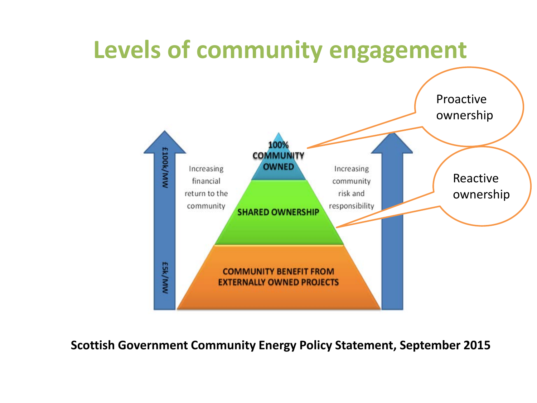

**Scottish Government Community Energy Policy Statement, September 2015**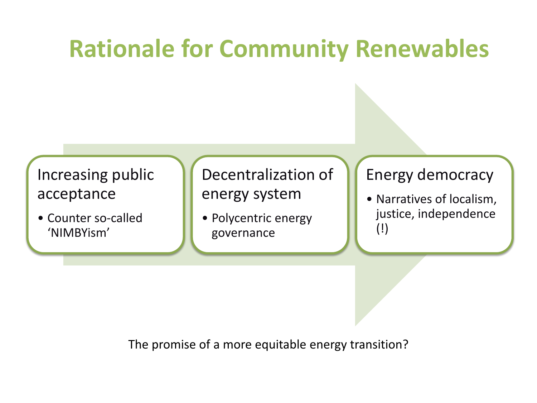### **Rationale for Community Renewables**

#### Increasing public acceptance

• Counter so-called 'NIMBYism'

#### Decentralization of energy system

• Polycentric energy governance

#### Energy democracy

• Narratives of localism, justice, independence (!)

The promise of a more equitable energy transition?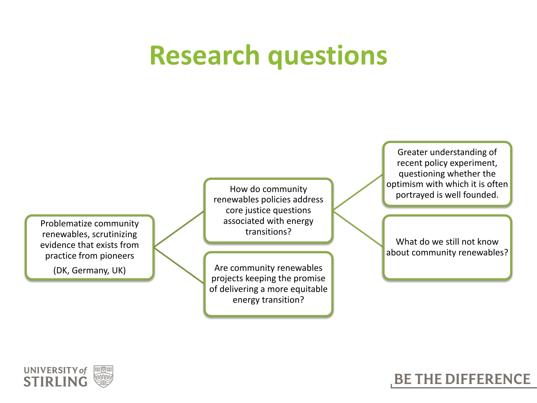### **Research questions**

Problematize community renewables, scrutinizing evidence that exists from practice from pioneers

(DK, Germany, UK)

How do community renewables policies address core justice questions associated with energy transitions?

Are community renewables projects keeping the promise of delivering a more equitable energy transition?

Greater understanding of recent policy experiment, questioning whether the optimism with which it is often portrayed is well founded.

What do we still not know about community renewables?



#### **BE THE DIFFERENCE**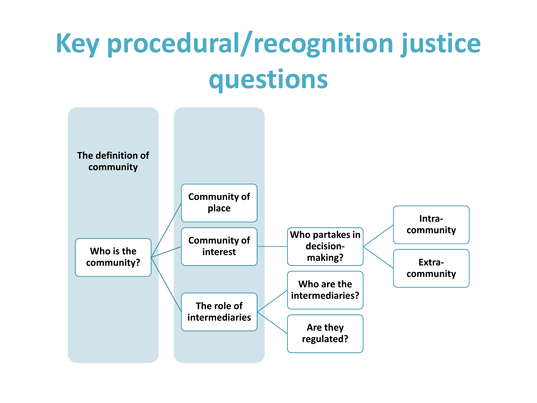## **Key procedural/recognition justice questions**

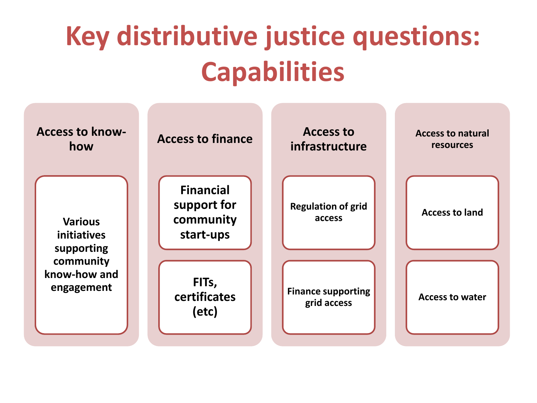# **Key distributive justice questions: Capabilities**

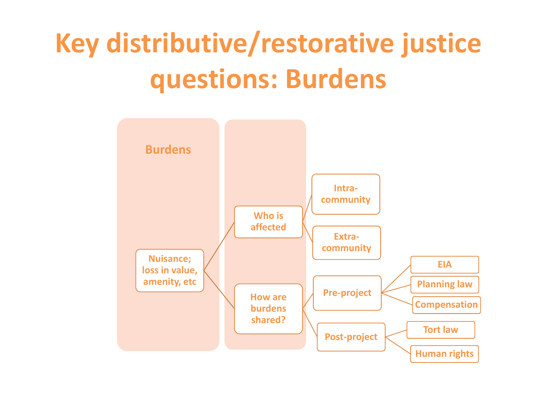# **Key distributive/restorative justice questions: Burdens**

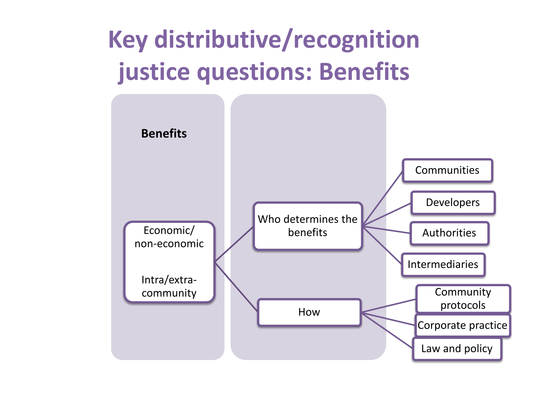### **Key distributive/recognition justice questions: Benefits**

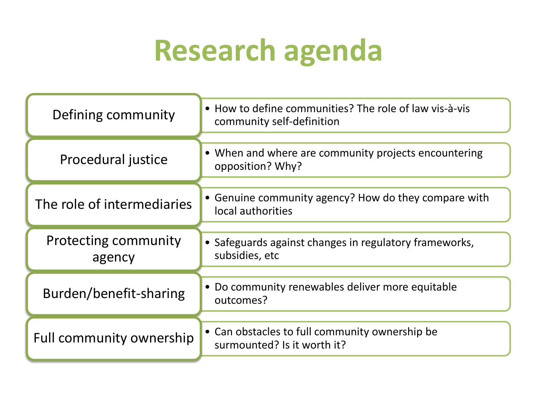# **Research agenda**

| Defining community                    | • How to define communities? The role of law vis-à-vis<br>community self-definition |
|---------------------------------------|-------------------------------------------------------------------------------------|
| Procedural justice                    | • When and where are community projects encountering<br>opposition? Why?            |
| The role of intermediaries            | • Genuine community agency? How do they compare with<br>local authorities           |
| <b>Protecting community</b><br>agency | • Safeguards against changes in regulatory frameworks,<br>subsidies, etc            |
| Burden/benefit-sharing                | • Do community renewables deliver more equitable<br>outcomes?                       |
| <b>Full community ownership</b>       | • Can obstacles to full community ownership be<br>surmounted? Is it worth it?       |